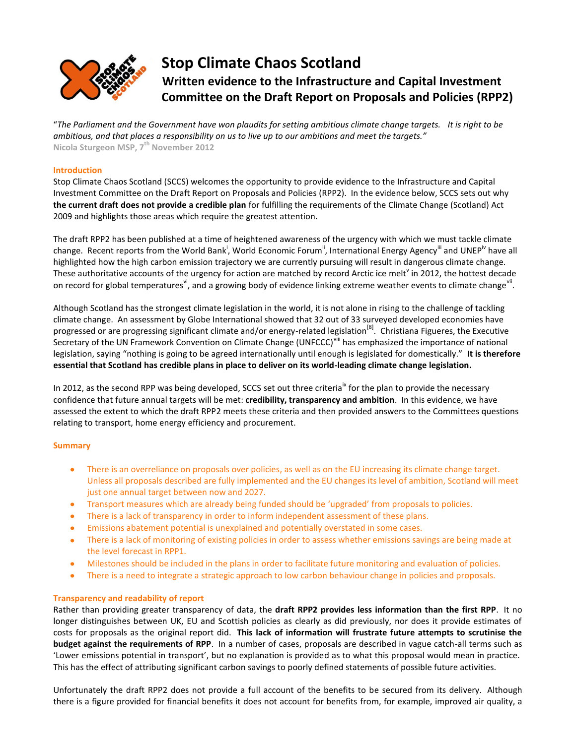

# **Stop Climate Chaos Scotland Written evidence to the Infrastructure and Capital Investment Committee on the Draft Report on Proposals and Policies (RPP2)**

"*The Parliament and the Government have won plaudits for setting ambitious climate change targets. It is right to be ambitious, and that places a responsibility on us to live up to our ambitions and meet the targets."* **Nicola Sturgeon MSP, 7th November 2012**

## **Introduction**

Stop Climate Chaos Scotland (SCCS) welcomes the opportunity to provide evidence to the Infrastructure and Capital Investment Committee on the Draft Report on Proposals and Policies (RPP2). In the evidence below, SCCS sets out why **the current draft does not provide a credible plan** for fulfilling the requirements of the Climate Change (Scotland) Act 2009 and highlights those areas which require the greatest attention.

The draft RPP2 has been published at a time of heightened awareness of the urgency with which we must tackle climate change. Recent reports from the World Bank<sup>i</sup>, World Economic Forum<sup>"</sup>, International Energy Agency<sup>'"</sup> and UNEP<sup>iv</sup> have all highlighted how the high carbon emission trajectory we are currently pursuing will result in dangerous climate change. These authoritative accounts of the urgency for action are matched by record Arctic ice melt<sup>v</sup> in 2012, the hottest decade on record for global temperatures<sup>vi</sup>, and a growing body of evidence linking extreme weather events to climate change<sup>vii</sup>.

Although Scotland has the strongest climate legislation in the world, it is not alone in rising to the challenge of tackling climate change. An assessment by Globe International showed that 32 out of 33 surveyed developed economies have progressed or are progressing significant climate and/or energy-related legislation<sup>[8]</sup>. Christiana Figueres, the Executive Secretary of the UN Framework Convention on Climate Change (UNFCCC)<sup>viii</sup> has emphasized the importance of national legislation, saying "nothing is going to be agreed internationally until enough is legislated for domestically." **It is therefore essential that Scotland has credible plans in place to deliver on its world-leading climate change legislation.**

In 2012, as the second RPP was being developed, SCCS set out three criteria<sup>ix</sup> for the plan to provide the necessary confidence that future annual targets will be met: **credibility, transparency and ambition**. In this evidence, we have assessed the extent to which the draft RPP2 meets these criteria and then provided answers to the Committees questions relating to transport, home energy efficiency and procurement.

#### **Summary**

- There is an overreliance on proposals over policies, as well as on the EU increasing its climate change target.  $\bullet$ Unless all proposals described are fully implemented and the EU changes its level of ambition, Scotland will meet just one annual target between now and 2027.
- Transport measures which are already being funded should be 'upgraded' from proposals to policies.  $\bullet$
- $\bullet$ There is a lack of transparency in order to inform independent assessment of these plans.
- $\bullet$ Emissions abatement potential is unexplained and potentially overstated in some cases.
- There is a lack of monitoring of existing policies in order to assess whether emissions savings are being made at  $\bullet$ the level forecast in RPP1.
- Milestones should be included in the plans in order to facilitate future monitoring and evaluation of policies.  $\bullet$
- There is a need to integrate a strategic approach to low carbon behaviour change in policies and proposals.  $\bullet$

#### **Transparency and readability of report**

Rather than providing greater transparency of data, the **draft RPP2 provides less information than the first RPP**. It no longer distinguishes between UK, EU and Scottish policies as clearly as did previously, nor does it provide estimates of costs for proposals as the original report did. **This lack of information will frustrate future attempts to scrutinise the budget against the requirements of RPP**. In a number of cases, proposals are described in vague catch-all terms such as 'Lower emissions potential in transport', but no explanation is provided as to what this proposal would mean in practice. This has the effect of attributing significant carbon savings to poorly defined statements of possible future activities.

Unfortunately the draft RPP2 does not provide a full account of the benefits to be secured from its delivery. Although there is a figure provided for financial benefits it does not account for benefits from, for example, improved air quality, a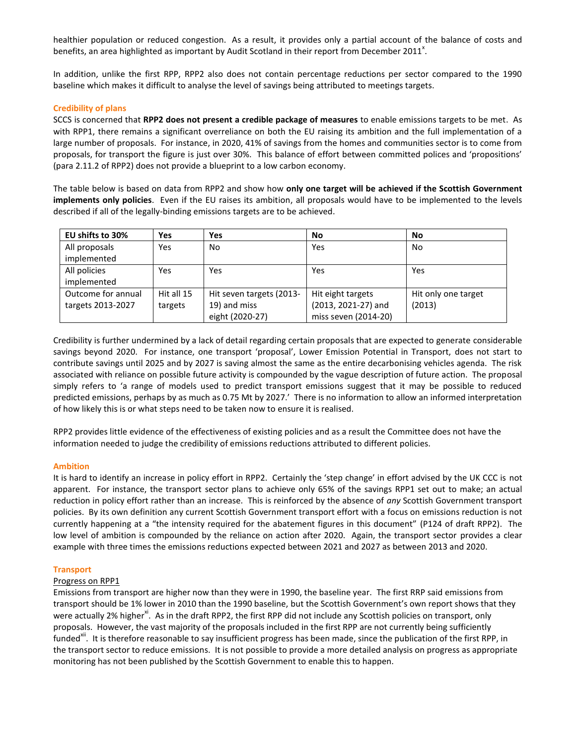healthier population or reduced congestion. As a result, it provides only a partial account of the balance of costs and benefits, an area highlighted as important by Audit Scotland in their report from December 2011<sup>x</sup>.

In addition, unlike the first RPP, RPP2 also does not contain percentage reductions per sector compared to the 1990 baseline which makes it difficult to analyse the level of savings being attributed to meetings targets.

#### **Credibility of plans**

SCCS is concerned that **RPP2 does not present a credible package of measures** to enable emissions targets to be met. As with RPP1, there remains a significant overreliance on both the EU raising its ambition and the full implementation of a large number of proposals. For instance, in 2020, 41% of savings from the homes and communities sector is to come from proposals, for transport the figure is just over 30%. This balance of effort between committed polices and 'propositions' (para 2.11.2 of RPP2) does not provide a blueprint to a low carbon economy.

The table below is based on data from RPP2 and show how **only one target will be achieved if the Scottish Government implements only policies**. Even if the EU raises its ambition, all proposals would have to be implemented to the levels described if all of the legally-binding emissions targets are to be achieved.

| EU shifts to 30%   | Yes        | Yes                      | No                   | No                  |
|--------------------|------------|--------------------------|----------------------|---------------------|
| All proposals      | Yes        | No                       | Yes                  | No                  |
| implemented        |            |                          |                      |                     |
| All policies       | Yes        | Yes                      | Yes                  | Yes                 |
| implemented        |            |                          |                      |                     |
| Outcome for annual | Hit all 15 | Hit seven targets (2013- | Hit eight targets    | Hit only one target |
| targets 2013-2027  | targets    | 19) and miss             | (2013, 2021-27) and  | (2013)              |
|                    |            | eight (2020-27)          | miss seven (2014-20) |                     |

Credibility is further undermined by a lack of detail regarding certain proposals that are expected to generate considerable savings beyond 2020. For instance, one transport 'proposal', Lower Emission Potential in Transport, does not start to contribute savings until 2025 and by 2027 is saving almost the same as the entire decarbonising vehicles agenda. The risk associated with reliance on possible future activity is compounded by the vague description of future action. The proposal simply refers to 'a range of models used to predict transport emissions suggest that it may be possible to reduced predicted emissions, perhaps by as much as 0.75 Mt by 2027.' There is no information to allow an informed interpretation of how likely this is or what steps need to be taken now to ensure it is realised.

RPP2 provides little evidence of the effectiveness of existing policies and as a result the Committee does not have the information needed to judge the credibility of emissions reductions attributed to different policies.

#### **Ambition**

It is hard to identify an increase in policy effort in RPP2. Certainly the 'step change' in effort advised by the UK CCC is not apparent. For instance, the transport sector plans to achieve only 65% of the savings RPP1 set out to make; an actual reduction in policy effort rather than an increase. This is reinforced by the absence of *any* Scottish Government transport policies. By its own definition any current Scottish Government transport effort with a focus on emissions reduction is not currently happening at a "the intensity required for the abatement figures in this document" (P124 of draft RPP2). The low level of ambition is compounded by the reliance on action after 2020. Again, the transport sector provides a clear example with three times the emissions reductions expected between 2021 and 2027 as between 2013 and 2020.

#### **Transport**

#### Progress on RPP1

Emissions from transport are higher now than they were in 1990, the baseline year. The first RRP said emissions from transport should be 1% lower in 2010 than the 1990 baseline, but the Scottish Government's own report shows that they were actually 2% higher<sup>xi</sup>. As in the draft RPP2, the first RPP did not include any Scottish policies on transport, only proposals. However, the vast majority of the proposals included in the first RPP are not currently being sufficiently funded<sup>xii</sup>. It is therefore reasonable to say insufficient progress has been made, since the publication of the first RPP, in the transport sector to reduce emissions. It is not possible to provide a more detailed analysis on progress as appropriate monitoring has not been published by the Scottish Government to enable this to happen.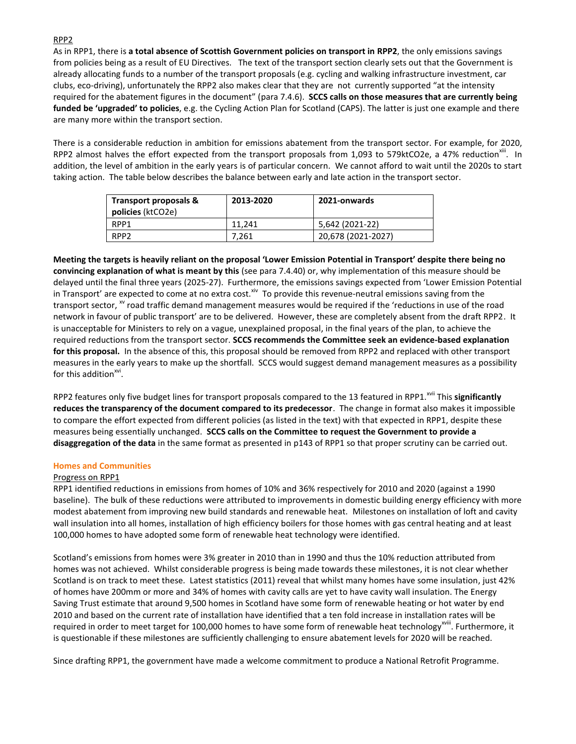## RPP2

As in RPP1, there is **a total absence of Scottish Government policies on transport in RPP2**, the only emissions savings from policies being as a result of EU Directives. The text of the transport section clearly sets out that the Government is already allocating funds to a number of the transport proposals (e.g. cycling and walking infrastructure investment, car clubs, eco-driving), unfortunately the RPP2 also makes clear that they are not currently supported "at the intensity required for the abatement figures in the document" (para 7.4.6). **SCCS calls on those measures that are currently being funded be 'upgraded' to policies**, e.g. the Cycling Action Plan for Scotland (CAPS). The latter is just one example and there are many more within the transport section.

There is a considerable reduction in ambition for emissions abatement from the transport sector. For example, for 2020, RPP2 almost halves the effort expected from the transport proposals from 1,093 to 579ktCO2e, a 47% reduction<sup>xiii</sup>. In addition, the level of ambition in the early years is of particular concern. We cannot afford to wait until the 2020s to start taking action. The table below describes the balance between early and late action in the transport sector.

| Transport proposals &<br><b>policies</b> (ktCO2e) | 2013-2020 | 2021-onwards       |
|---------------------------------------------------|-----------|--------------------|
| RPP1                                              | 11.241    | 5,642 (2021-22)    |
| RPP <sub>2</sub>                                  | 7.261     | 20,678 (2021-2027) |

**Meeting the targets is heavily reliant on the proposal 'Lower Emission Potential in Transport' despite there being no convincing explanation of what is meant by this** (see para 7.4.40) or, why implementation of this measure should be delayed until the final three years (2025-27). Furthermore, the emissions savings expected from 'Lower Emission Potential in Transport' are expected to come at no extra cost.<sup>xiv</sup> To provide this revenue-neutral emissions saving from the transport sector, <sup>xv</sup> road traffic demand management measures would be required if the 'reductions in use of the road network in favour of public transport' are to be delivered. However, these are completely absent from the draft RPP2. It is unacceptable for Ministers to rely on a vague, unexplained proposal, in the final years of the plan, to achieve the required reductions from the transport sector. **SCCS recommends the Committee seek an evidence-based explanation for this proposal.** In the absence of this, this proposal should be removed from RPP2 and replaced with other transport measures in the early years to make up the shortfall. SCCS would suggest demand management measures as a possibility for this addition $\overset{\text{avi}}{ }$ .

RPP2 features only five budget lines for transport proposals compared to the 13 featured in RPP1.<sup>xvii</sup> This significantly **reduces the transparency of the document compared to its predecessor**. The change in format also makes it impossible to compare the effort expected from different policies (as listed in the text) with that expected in RPP1, despite these measures being essentially unchanged. **SCCS calls on the Committee to request the Government to provide a disaggregation of the data** in the same format as presented in p143 of RPP1 so that proper scrutiny can be carried out.

# **Homes and Communities**

# Progress on RPP1

RPP1 identified reductions in emissions from homes of 10% and 36% respectively for 2010 and 2020 (against a 1990 baseline). The bulk of these reductions were attributed to improvements in domestic building energy efficiency with more modest abatement from improving new build standards and renewable heat. Milestones on installation of loft and cavity wall insulation into all homes, installation of high efficiency boilers for those homes with gas central heating and at least 100,000 homes to have adopted some form of renewable heat technology were identified.

Scotland's emissions from homes were 3% greater in 2010 than in 1990 and thus the 10% reduction attributed from homes was not achieved. Whilst considerable progress is being made towards these milestones, it is not clear whether Scotland is on track to meet these. Latest statistics (2011) reveal that whilst many homes have some insulation, just 42% of homes have 200mm or more and 34% of homes with cavity calls are yet to have cavity wall insulation. The Energy Saving Trust estimate that around 9,500 homes in Scotland have some form of renewable heating or hot water by end 2010 and based on the current rate of installation have identified that a ten fold increase in installation rates will be required in order to meet target for 100,000 homes to have some form of renewable heat technology<sup>xviii</sup>. Furthermore, it is questionable if these milestones are sufficiently challenging to ensure abatement levels for 2020 will be reached.

Since drafting RPP1, the government have made a welcome commitment to produce a National Retrofit Programme.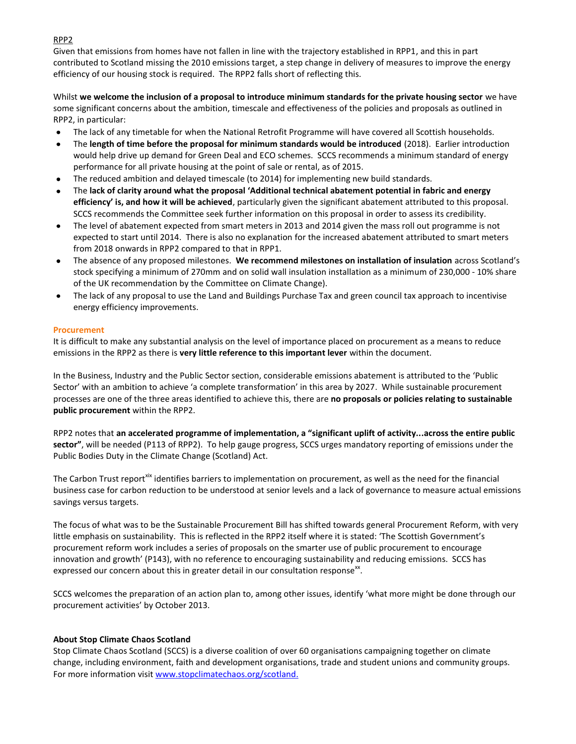# RPP2

Given that emissions from homes have not fallen in line with the trajectory established in RPP1, and this in part contributed to Scotland missing the 2010 emissions target, a step change in delivery of measures to improve the energy efficiency of our housing stock is required. The RPP2 falls short of reflecting this.

Whilst **we welcome the inclusion of a proposal to introduce minimum standards for the private housing sector** we have some significant concerns about the ambition, timescale and effectiveness of the policies and proposals as outlined in RPP2, in particular:

- $\bullet$ The lack of any timetable for when the National Retrofit Programme will have covered all Scottish households.
- $\bullet$ The **length of time before the proposal for minimum standards would be introduced** (2018). Earlier introduction would help drive up demand for Green Deal and ECO schemes. SCCS recommends a minimum standard of energy performance for all private housing at the point of sale or rental, as of 2015.
- The reduced ambition and delayed timescale (to 2014) for implementing new build standards.  $\bullet$
- The **lack of clarity around what the proposal 'Additional technical abatement potential in fabric and energy efficiency' is, and how it will be achieved**, particularly given the significant abatement attributed to this proposal. SCCS recommends the Committee seek further information on this proposal in order to assess its credibility.
- The level of abatement expected from smart meters in 2013 and 2014 given the mass roll out programme is not  $\bullet$ expected to start until 2014. There is also no explanation for the increased abatement attributed to smart meters from 2018 onwards in RPP2 compared to that in RPP1.
- The absence of any proposed milestones. **We recommend milestones on installation of insulation** across Scotland's  $\bullet$ stock specifying a minimum of 270mm and on solid wall insulation installation as a minimum of 230,000 - 10% share of the UK recommendation by the Committee on Climate Change).
- The lack of any proposal to use the Land and Buildings Purchase Tax and green council tax approach to incentivise energy efficiency improvements.

# **Procurement**

It is difficult to make any substantial analysis on the level of importance placed on procurement as a means to reduce emissions in the RPP2 as there is **very little reference to this important lever** within the document.

In the Business, Industry and the Public Sector section, considerable emissions abatement is attributed to the 'Public Sector' with an ambition to achieve 'a complete transformation' in this area by 2027. While sustainable procurement processes are one of the three areas identified to achieve this, there are **no proposals or policies relating to sustainable public procurement** within the RPP2.

RPP2 notes that **an accelerated programme of implementation, a "significant uplift of activity...across the entire public sector"**, will be needed (P113 of RPP2). To help gauge progress, SCCS urges mandatory reporting of emissions under the Public Bodies Duty in the Climate Change (Scotland) Act.

The Carbon Trust report<sup>xix</sup> identifies barriers to implementation on procurement, as well as the need for the financial business case for carbon reduction to be understood at senior levels and a lack of governance to measure actual emissions savings versus targets.

The focus of what was to be the Sustainable Procurement Bill has shifted towards general Procurement Reform, with very little emphasis on sustainability. This is reflected in the RPP2 itself where it is stated: 'The Scottish Government's procurement reform work includes a series of proposals on the smarter use of public procurement to encourage innovation and growth' (P143), with no reference to encouraging sustainability and reducing emissions. SCCS has expressed our concern about this in greater detail in our consultation response<sup>xx</sup>.

SCCS welcomes the preparation of an action plan to, among other issues, identify 'what more might be done through our procurement activities' by October 2013.

# **About Stop Climate Chaos Scotland**

Stop Climate Chaos Scotland (SCCS) is a diverse coalition of over 60 organisations campaigning together on climate change, including environment, faith and development organisations, trade and student unions and community groups. For more information visit [www.stopclimatechaos.org/scotland.](http://www.stopclimatechaos.org/scotland)